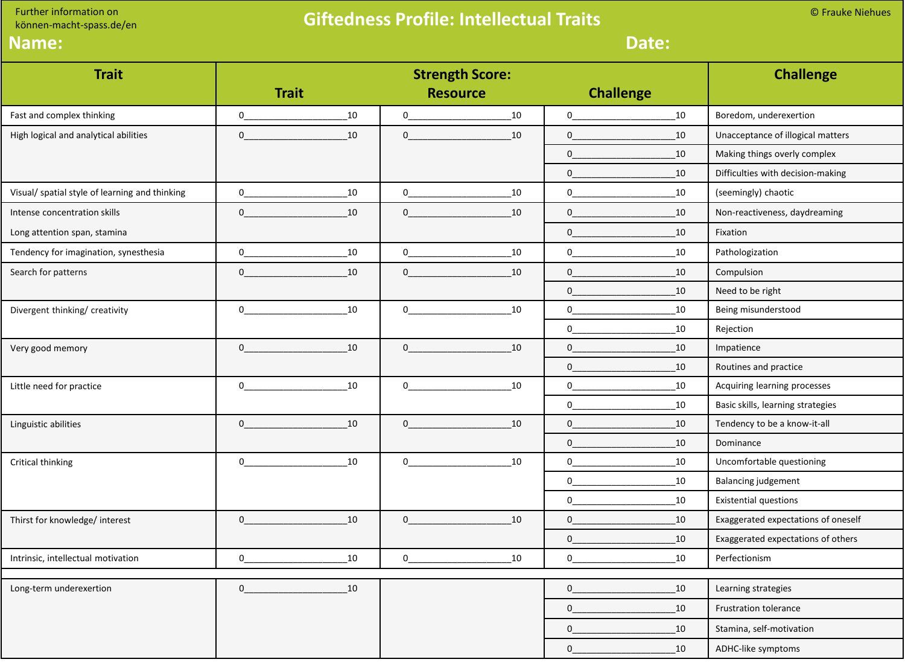Further information on

## können-macht-spass.de/en

## **Giftedness Profile: Intellectual Traits**

© Frauke Niehues

| Name:                                          | Date:                                                                                                                                                                                                                                                                                                                                                                    |                                                                                                                                                                                                                                                                                                                                    |                                           |                                                                                                                                                                                                                                                                                                                                                                                             |                  |                                     |  |  |
|------------------------------------------------|--------------------------------------------------------------------------------------------------------------------------------------------------------------------------------------------------------------------------------------------------------------------------------------------------------------------------------------------------------------------------|------------------------------------------------------------------------------------------------------------------------------------------------------------------------------------------------------------------------------------------------------------------------------------------------------------------------------------|-------------------------------------------|---------------------------------------------------------------------------------------------------------------------------------------------------------------------------------------------------------------------------------------------------------------------------------------------------------------------------------------------------------------------------------------------|------------------|-------------------------------------|--|--|
| <b>Trait</b>                                   | <b>Trait</b>                                                                                                                                                                                                                                                                                                                                                             |                                                                                                                                                                                                                                                                                                                                    | <b>Strength Score:</b><br><b>Resource</b> |                                                                                                                                                                                                                                                                                                                                                                                             | <b>Challenge</b> | <b>Challenge</b>                    |  |  |
| Fast and complex thinking                      | $\mathbf 0$<br>10                                                                                                                                                                                                                                                                                                                                                        | $\overline{0}$                                                                                                                                                                                                                                                                                                                     | 10                                        | $\begin{picture}(20,20) \put(0,0){\dashbox{0.5}(10,0){ }} \put(15,0){\circle{10}} \put(15,0){\circle{10}} \put(15,0){\circle{10}} \put(15,0){\circle{10}} \put(15,0){\circle{10}} \put(15,0){\circle{10}} \put(15,0){\circle{10}} \put(15,0){\circle{10}} \put(15,0){\circle{10}} \put(15,0){\circle{10}} \put(15,0){\circle{10}} \put(15,0){\circle{10}} \put(15,0){\circle{10}} \put(15,$ | 10               | Boredom, underexertion              |  |  |
| High logical and analytical abilities          | $\overline{0}$<br>10                                                                                                                                                                                                                                                                                                                                                     | $\overline{0}$ and $\overline{0}$ and $\overline{0}$ and $\overline{0}$ and $\overline{0}$ and $\overline{0}$ and $\overline{0}$ and $\overline{0}$ and $\overline{0}$ and $\overline{0}$ and $\overline{0}$ and $\overline{0}$ and $\overline{0}$ and $\overline{0}$ and $\overline{0}$ and $\overline{0}$ and $\overline{0}$ and | 10                                        |                                                                                                                                                                                                                                                                                                                                                                                             | 10               | Unacceptance of illogical matters   |  |  |
|                                                |                                                                                                                                                                                                                                                                                                                                                                          |                                                                                                                                                                                                                                                                                                                                    |                                           | $0 \qquad \qquad$                                                                                                                                                                                                                                                                                                                                                                           | 10               | Making things overly complex        |  |  |
|                                                |                                                                                                                                                                                                                                                                                                                                                                          |                                                                                                                                                                                                                                                                                                                                    |                                           | $0 \overline{\phantom{a}}$                                                                                                                                                                                                                                                                                                                                                                  | 10               | Difficulties with decision-making   |  |  |
| Visual/ spatial style of learning and thinking | $\begin{picture}(20,20)(-0,0) \put(0,0){\vector(1,0){100}} \put(15,0){\vector(1,0){100}} \put(15,0){\vector(1,0){100}} \put(15,0){\vector(1,0){100}} \put(15,0){\vector(1,0){100}} \put(15,0){\vector(1,0){100}} \put(15,0){\vector(1,0){100}} \put(15,0){\vector(1,0){100}} \put(15,0){\vector(1,0){100}} \put(15,0){\vector(1,0){100}} \put(15,0){\vector(1,0){$<br>10 | $\mathbf{0}$                                                                                                                                                                                                                                                                                                                       | 10                                        | $\begin{picture}(20,20)(-0,0) \put(0,0){\vector(1,0){10}} \put(15,0){\vector(1,0){10}} \put(15,0){\vector(1,0){10}} \put(15,0){\vector(1,0){10}} \put(15,0){\vector(1,0){10}} \put(15,0){\vector(1,0){10}} \put(15,0){\vector(1,0){10}} \put(15,0){\vector(1,0){10}} \put(15,0){\vector(1,0){10}} \put(15,0){\vector(1,0){10}} \put(15,0){\vector(1,0){10}} \put(15,0$                      | 10               | (seemingly) chaotic                 |  |  |
| Intense concentration skills                   | $\mathbf{0}$<br>10                                                                                                                                                                                                                                                                                                                                                       | 0                                                                                                                                                                                                                                                                                                                                  | 10                                        | $0 \qquad \qquad$                                                                                                                                                                                                                                                                                                                                                                           | 10               | Non-reactiveness, daydreaming       |  |  |
| Long attention span, stamina                   |                                                                                                                                                                                                                                                                                                                                                                          |                                                                                                                                                                                                                                                                                                                                    |                                           | $\overline{0}$                                                                                                                                                                                                                                                                                                                                                                              | 10               | Fixation                            |  |  |
| Tendency for imagination, synesthesia          | $\begin{picture}(150,10) \put(0,0){\line(1,0){10}} \put(15,0){\line(1,0){10}} \put(15,0){\line(1,0){10}} \put(15,0){\line(1,0){10}} \put(15,0){\line(1,0){10}} \put(15,0){\line(1,0){10}} \put(15,0){\line(1,0){10}} \put(15,0){\line(1,0){10}} \put(15,0){\line(1,0){10}} \put(15,0){\line(1,0){10}} \put(15,0){\line(1,0){10}} \put(15,0){\line($<br>10                | $\overline{0}$                                                                                                                                                                                                                                                                                                                     | 10                                        | $0 \qquad \qquad$                                                                                                                                                                                                                                                                                                                                                                           | 10               | Pathologization                     |  |  |
| Search for patterns                            | $\mathbf{0}$<br>10                                                                                                                                                                                                                                                                                                                                                       | $\mathbf{0}$                                                                                                                                                                                                                                                                                                                       | 10                                        | $\overline{0}$                                                                                                                                                                                                                                                                                                                                                                              | 10               | Compulsion                          |  |  |
|                                                |                                                                                                                                                                                                                                                                                                                                                                          |                                                                                                                                                                                                                                                                                                                                    |                                           | $\overline{0}$                                                                                                                                                                                                                                                                                                                                                                              | 10               | Need to be right                    |  |  |
| Divergent thinking/ creativity                 | 10<br>$\overline{0}$                                                                                                                                                                                                                                                                                                                                                     | $\overline{0}$                                                                                                                                                                                                                                                                                                                     | 10                                        | $\overline{\mathbf{0}}$                                                                                                                                                                                                                                                                                                                                                                     | 10               | Being misunderstood                 |  |  |
|                                                |                                                                                                                                                                                                                                                                                                                                                                          |                                                                                                                                                                                                                                                                                                                                    |                                           | 0                                                                                                                                                                                                                                                                                                                                                                                           | 10               | Rejection                           |  |  |
| Very good memory                               | 10<br>$\overline{0}$ and $\overline{0}$ and $\overline{0}$ and $\overline{0}$ and $\overline{0}$ and $\overline{0}$ and $\overline{0}$ and $\overline{0}$ and $\overline{0}$ and $\overline{0}$ and $\overline{0}$ and $\overline{0}$ and $\overline{0}$ and $\overline{0}$ and $\overline{0}$ and $\overline{0}$ and $\overline{0}$ and                                 | $\overline{0}$ and $\overline{0}$ and $\overline{0}$ and $\overline{0}$ and $\overline{0}$ and $\overline{0}$ and $\overline{0}$ and $\overline{0}$ and $\overline{0}$ and $\overline{0}$ and $\overline{0}$ and $\overline{0}$ and $\overline{0}$ and $\overline{0}$ and $\overline{0}$ and $\overline{0}$ and $\overline{0}$ and | 10                                        | $\overline{0}$                                                                                                                                                                                                                                                                                                                                                                              | 10               | Impatience                          |  |  |
|                                                |                                                                                                                                                                                                                                                                                                                                                                          |                                                                                                                                                                                                                                                                                                                                    |                                           | $\overline{0}$ and $\overline{0}$ and $\overline{0}$ and $\overline{0}$ and $\overline{0}$ and $\overline{0}$ and $\overline{0}$ and $\overline{0}$ and $\overline{0}$ and $\overline{0}$ and $\overline{0}$ and $\overline{0}$ and $\overline{0}$ and $\overline{0}$ and $\overline{0}$ and $\overline{0}$ and $\overline{0}$ and                                                          | 10               | Routines and practice               |  |  |
| Little need for practice                       | 10<br>$\overline{0}$                                                                                                                                                                                                                                                                                                                                                     | $\overline{0}$                                                                                                                                                                                                                                                                                                                     | 10                                        | $0 \qquad \qquad$                                                                                                                                                                                                                                                                                                                                                                           | 10               | Acquiring learning processes        |  |  |
|                                                |                                                                                                                                                                                                                                                                                                                                                                          |                                                                                                                                                                                                                                                                                                                                    |                                           | $0 \qquad \qquad$                                                                                                                                                                                                                                                                                                                                                                           | 10               | Basic skills, learning strategies   |  |  |
| Linguistic abilities                           | $\mathbf{0}$<br>10                                                                                                                                                                                                                                                                                                                                                       | $\mathbf{0}$                                                                                                                                                                                                                                                                                                                       | 10                                        | $\mathbf{0}$                                                                                                                                                                                                                                                                                                                                                                                | 10               | Tendency to be a know-it-all        |  |  |
|                                                |                                                                                                                                                                                                                                                                                                                                                                          |                                                                                                                                                                                                                                                                                                                                    |                                           | $\overline{0}$                                                                                                                                                                                                                                                                                                                                                                              | 10               | Dominance                           |  |  |
| Critical thinking                              | $\overline{0}$<br>10                                                                                                                                                                                                                                                                                                                                                     | $\mathbf{0}$                                                                                                                                                                                                                                                                                                                       | 10                                        | $\overline{0}$                                                                                                                                                                                                                                                                                                                                                                              | 10               | Uncomfortable questioning           |  |  |
|                                                |                                                                                                                                                                                                                                                                                                                                                                          |                                                                                                                                                                                                                                                                                                                                    |                                           | $\mathbf{0}$                                                                                                                                                                                                                                                                                                                                                                                | 10               | <b>Balancing judgement</b>          |  |  |
|                                                |                                                                                                                                                                                                                                                                                                                                                                          |                                                                                                                                                                                                                                                                                                                                    |                                           | $\overline{0}$                                                                                                                                                                                                                                                                                                                                                                              | 10               | <b>Existential questions</b>        |  |  |
| Thirst for knowledge/ interest                 | $\mathbf{0}$<br>10                                                                                                                                                                                                                                                                                                                                                       | 0                                                                                                                                                                                                                                                                                                                                  | 10                                        | $\mathbf{0}$                                                                                                                                                                                                                                                                                                                                                                                | 10               | Exaggerated expectations of oneself |  |  |
|                                                |                                                                                                                                                                                                                                                                                                                                                                          |                                                                                                                                                                                                                                                                                                                                    |                                           | $\mathbf 0$                                                                                                                                                                                                                                                                                                                                                                                 | 10               | Exaggerated expectations of others  |  |  |
| Intrinsic, intellectual motivation             | 10<br>0                                                                                                                                                                                                                                                                                                                                                                  | 0                                                                                                                                                                                                                                                                                                                                  | 10                                        | 0                                                                                                                                                                                                                                                                                                                                                                                           | 10               | Perfectionism                       |  |  |
|                                                |                                                                                                                                                                                                                                                                                                                                                                          |                                                                                                                                                                                                                                                                                                                                    |                                           |                                                                                                                                                                                                                                                                                                                                                                                             |                  |                                     |  |  |
| Long-term underexertion                        | 0<br>10                                                                                                                                                                                                                                                                                                                                                                  |                                                                                                                                                                                                                                                                                                                                    |                                           | 0                                                                                                                                                                                                                                                                                                                                                                                           | 10               | Learning strategies                 |  |  |
|                                                |                                                                                                                                                                                                                                                                                                                                                                          |                                                                                                                                                                                                                                                                                                                                    |                                           | $\mathbf 0$                                                                                                                                                                                                                                                                                                                                                                                 | 10               | Frustration tolerance               |  |  |
|                                                |                                                                                                                                                                                                                                                                                                                                                                          |                                                                                                                                                                                                                                                                                                                                    |                                           | $\mathbf 0$                                                                                                                                                                                                                                                                                                                                                                                 | 10               | Stamina, self-motivation            |  |  |
|                                                |                                                                                                                                                                                                                                                                                                                                                                          |                                                                                                                                                                                                                                                                                                                                    |                                           | $\Omega$                                                                                                                                                                                                                                                                                                                                                                                    | 10               | ADHC-like symptoms                  |  |  |